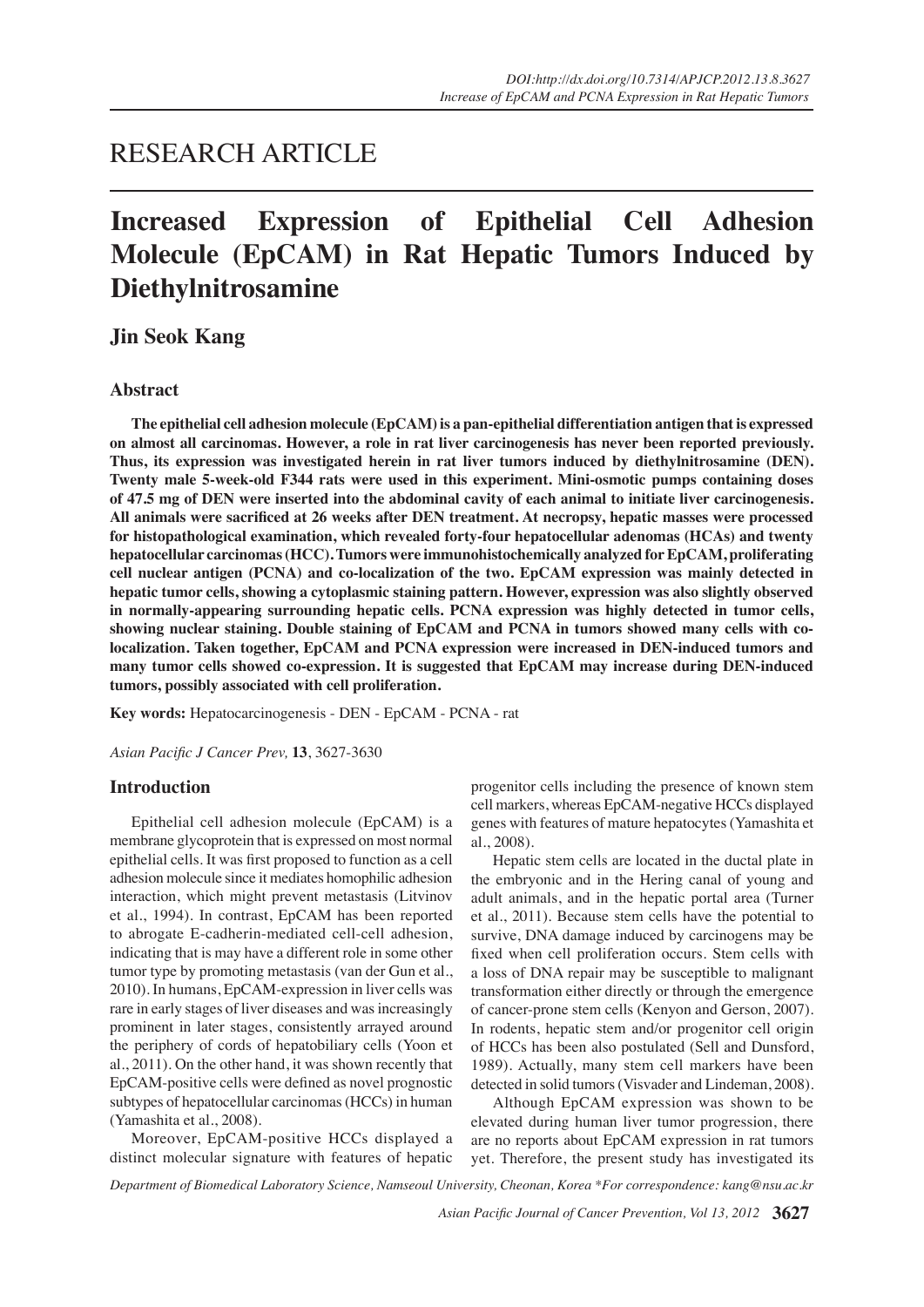# RESEARCH ARTICLE

# **Increased Expression of Epithelial Cell Adhesion Molecule (EpCAM) in Rat Hepatic Tumors Induced by Diethylnitrosamine**

## **Jin Seok Kang**

## **Abstract**

**The epithelial cell adhesion molecule (EpCAM) is a pan-epithelial differentiation antigen that is expressed on almost all carcinomas. However, a role in rat liver carcinogenesis has never been reported previously. Thus, its expression was investigated herein in rat liver tumors induced by diethylnitrosamine (DEN). Twenty male 5-week-old F344 rats were used in this experiment. Mini-osmotic pumps containing doses of 47.5 mg of DEN were inserted into the abdominal cavity of each animal to initiate liver carcinogenesis. All animals were sacrificed at 26 weeks after DEN treatment. At necropsy, hepatic masses were processed for histopathological examination, which revealed forty-four hepatocellular adenomas (HCAs) and twenty hepatocellular carcinomas (HCC). Tumors were immunohistochemically analyzed for EpCAM, proliferating cell nuclear antigen (PCNA) and co-localization of the two. EpCAM expression was mainly detected in hepatic tumor cells, showing a cytoplasmic staining pattern. However, expression was also slightly observed in normally-appearing surrounding hepatic cells. PCNA expression was highly detected in tumor cells, showing nuclear staining. Double staining of EpCAM and PCNA in tumors showed many cells with colocalization. Taken together, EpCAM and PCNA expression were increased in DEN-induced tumors and many tumor cells showed co-expression. It is suggested that EpCAM may increase during DEN-induced tumors, possibly associated with cell proliferation.**

**Key words:** Hepatocarcinogenesis - DEN - EpCAM - PCNA - rat

*Asian Pacific J Cancer Prev,* **13**, 3627-3630

## **Introduction**

Epithelial cell adhesion molecule (EpCAM) is a membrane glycoprotein that is expressed on most normal epithelial cells. It was first proposed to function as a cell adhesion molecule since it mediates homophilic adhesion interaction, which might prevent metastasis (Litvinov et al., 1994). In contrast, EpCAM has been reported to abrogate E-cadherin-mediated cell-cell adhesion, indicating that is may have a different role in some other tumor type by promoting metastasis (van der Gun et al., 2010). In humans, EpCAM-expression in liver cells was rare in early stages of liver diseases and was increasingly prominent in later stages, consistently arrayed around the periphery of cords of hepatobiliary cells (Yoon et al., 2011). On the other hand, it was shown recently that EpCAM-positive cells were defined as novel prognostic subtypes of hepatocellular carcinomas (HCCs) in human (Yamashita et al., 2008).

Moreover, EpCAM-positive HCCs displayed a distinct molecular signature with features of hepatic

progenitor cells including the presence of known stem cell markers, whereas EpCAM-negative HCCs displayed genes with features of mature hepatocytes (Yamashita et al., 2008).

Hepatic stem cells are located in the ductal plate in the embryonic and in the Hering canal of young and adult animals, and in the hepatic portal area (Turner et al., 2011). Because stem cells have the potential to survive, DNA damage induced by carcinogens may be fixed when cell proliferation occurs. Stem cells with a loss of DNA repair may be susceptible to malignant transformation either directly or through the emergence of cancer-prone stem cells (Kenyon and Gerson, 2007). In rodents, hepatic stem and/or progenitor cell origin of HCCs has been also postulated (Sell and Dunsford, 1989). Actually, many stem cell markers have been detected in solid tumors (Visvader and Lindeman, 2008).

Although EpCAM expression was shown to be elevated during human liver tumor progression, there are no reports about EpCAM expression in rat tumors yet. Therefore, the present study has investigated its

*Department of Biomedical Laboratory Science, Namseoul University, Cheonan, Korea \*For correspondence: kang@nsu.ac.kr*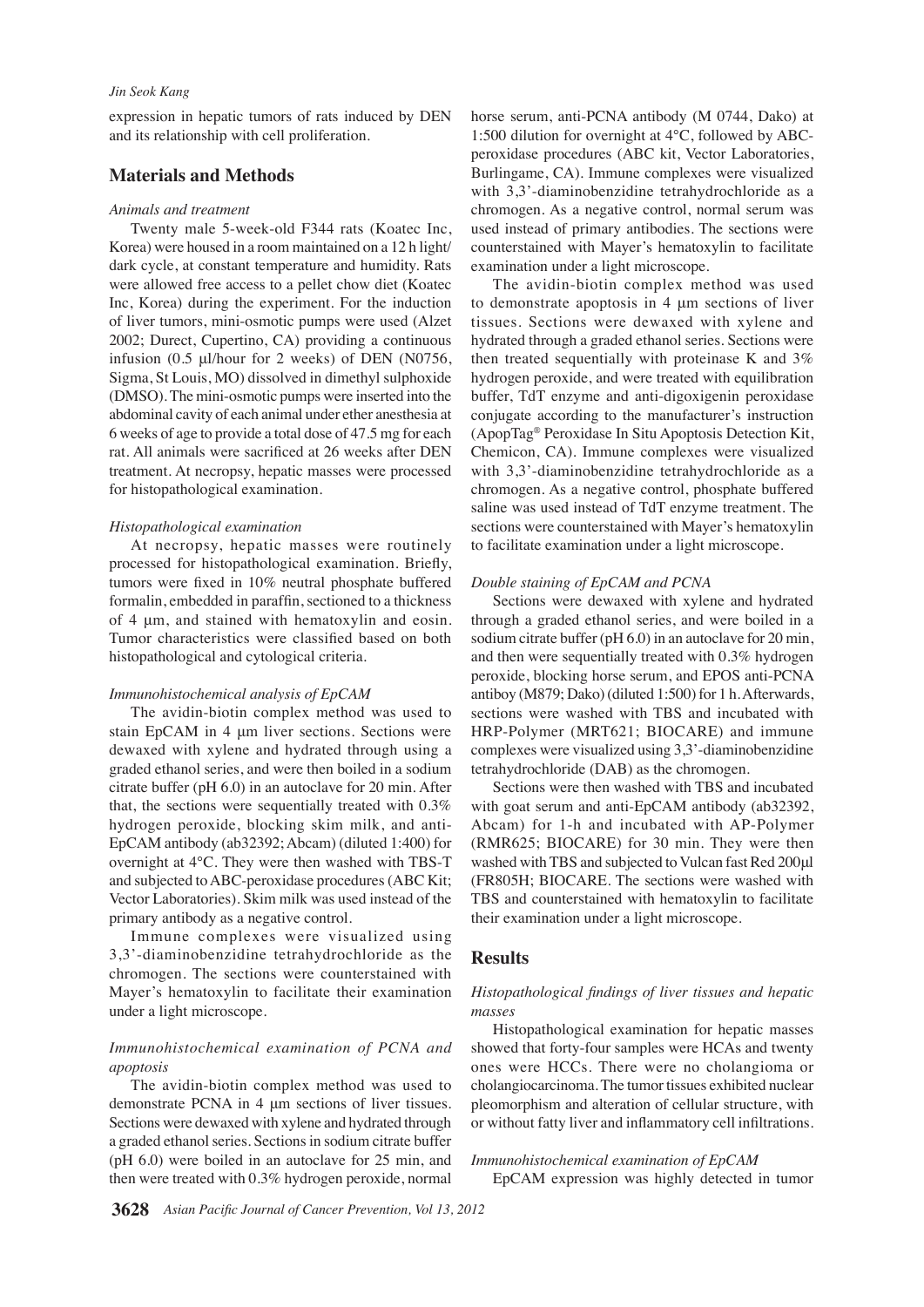## *Jin Seok Kang*

expression in hepatic tumors of rats induced by DEN and its relationship with cell proliferation.

## **Materials and Methods**

#### *Animals and treatment*

 Twenty male 5-week-old F344 rats (Koatec Inc, Korea) were housed in a room maintained on a 12 h light/ dark cycle, at constant temperature and humidity. Rats were allowed free access to a pellet chow diet (Koatec Inc, Korea) during the experiment. For the induction of liver tumors, mini-osmotic pumps were used (Alzet 2002; Durect, Cupertino, CA) providing a continuous infusion (0.5 μl/hour for 2 weeks) of DEN (N0756, Sigma, St Louis, MO) dissolved in dimethyl sulphoxide (DMSO). The mini-osmotic pumps were inserted into the abdominal cavity of each animal under ether anesthesia at 6 weeks of age to provide a total dose of 47.5 mg for each rat. All animals were sacrificed at 26 weeks after DEN treatment. At necropsy, hepatic masses were processed for histopathological examination.

#### *Histopathological examination*

At necropsy, hepatic masses were routinely processed for histopathological examination. Briefly, tumors were fixed in 10% neutral phosphate buffered formalin, embedded in paraffin, sectioned to a thickness of 4 μm, and stained with hematoxylin and eosin. Tumor characteristics were classified based on both histopathological and cytological criteria.

#### *Immunohistochemical analysis of EpCAM*

The avidin-biotin complex method was used to stain EpCAM in 4 μm liver sections. Sections were dewaxed with xylene and hydrated through using a graded ethanol series, and were then boiled in a sodium citrate buffer (pH 6.0) in an autoclave for 20 min. After that, the sections were sequentially treated with 0.3% hydrogen peroxide, blocking skim milk, and anti-EpCAM antibody (ab32392; Abcam) (diluted 1:400) for overnight at 4°C. They were then washed with TBS-T and subjected to ABC-peroxidase procedures (ABC Kit; Vector Laboratories). Skim milk was used instead of the primary antibody as a negative control.

Immune complexes were visualized using 3,3'-diaminobenzidine tetrahydrochloride as the chromogen. The sections were counterstained with Mayer's hematoxylin to facilitate their examination under a light microscope.

## *Immunohistochemical examination of PCNA and apoptosis*

The avidin-biotin complex method was used to demonstrate PCNA in 4 μm sections of liver tissues. Sections were dewaxed with xylene and hydrated through a graded ethanol series. Sections in sodium citrate buffer (pH 6.0) were boiled in an autoclave for 25 min, and then were treated with 0.3% hydrogen peroxide, normal horse serum, anti-PCNA antibody (M 0744, Dako) at 1:500 dilution for overnight at 4°C, followed by ABCperoxidase procedures (ABC kit, Vector Laboratories, Burlingame, CA). Immune complexes were visualized with 3,3'-diaminobenzidine tetrahydrochloride as a chromogen. As a negative control, normal serum was used instead of primary antibodies. The sections were counterstained with Mayer's hematoxylin to facilitate examination under a light microscope.

The avidin-biotin complex method was used to demonstrate apoptosis in 4 μm sections of liver tissues. Sections were dewaxed with xylene and hydrated through a graded ethanol series. Sections were then treated sequentially with proteinase K and 3% hydrogen peroxide, and were treated with equilibration buffer, TdT enzyme and anti-digoxigenin peroxidase conjugate according to the manufacturer's instruction (ApopTag® Peroxidase In Situ Apoptosis Detection Kit, Chemicon, CA). Immune complexes were visualized with 3,3'-diaminobenzidine tetrahydrochloride as a chromogen. As a negative control, phosphate buffered saline was used instead of TdT enzyme treatment. The sections were counterstained with Mayer's hematoxylin to facilitate examination under a light microscope.

#### *Double staining of EpCAM and PCNA*

Sections were dewaxed with xylene and hydrated through a graded ethanol series, and were boiled in a sodium citrate buffer (pH 6.0) in an autoclave for 20 min, and then were sequentially treated with 0.3% hydrogen peroxide, blocking horse serum, and EPOS anti-PCNA antiboy (M879; Dako) (diluted 1:500) for 1 h. Afterwards, sections were washed with TBS and incubated with HRP-Polymer (MRT621; BIOCARE) and immune complexes were visualized using 3,3'-diaminobenzidine tetrahydrochloride (DAB) as the chromogen.

Sections were then washed with TBS and incubated with goat serum and anti-EpCAM antibody (ab32392, Abcam) for 1-h and incubated with AP-Polymer (RMR625; BIOCARE) for 30 min. They were then washed with TBS and subjected to Vulcan fast Red 200μl (FR805H; BIOCARE. The sections were washed with TBS and counterstained with hematoxylin to facilitate their examination under a light microscope.

## **Results**

## *Histopathological findings of liver tissues and hepatic masses*

Histopathological examination for hepatic masses showed that forty-four samples were HCAs and twenty ones were HCCs. There were no cholangioma or cholangiocarcinoma. The tumor tissues exhibited nuclear pleomorphism and alteration of cellular structure, with or without fatty liver and inflammatory cell infiltrations.

### *Immunohistochemical examination of EpCAM*

EpCAM expression was highly detected in tumor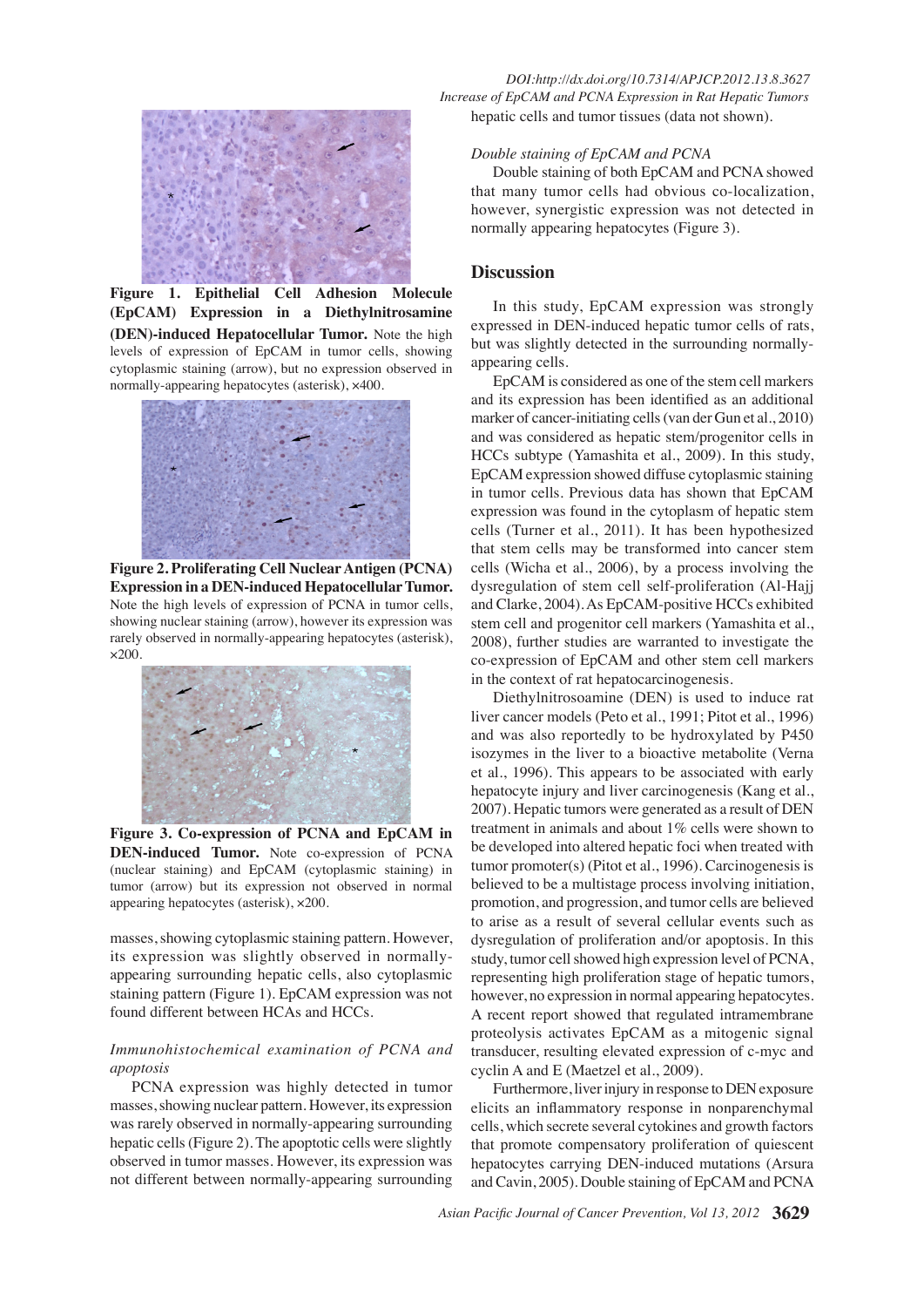

**Figure 1. Epithelial Cell Adhesion Molecule (EpCAM) Expression in a Diethylnitrosamine (DEN)-induced Hepatocellular Tumor.** Note the high levels of expression of EpCAM in tumor cells, showing cytoplasmic staining (arrow), but no expression observed in normally-appearing hepatocytes (asterisk), ×400.



**Figure 2. Proliferating Cell Nuclear Antigen (PCNA) Expression in a DEN-induced Hepatocellular Tumor.**  Note the high levels of expression of PCNA in tumor cells, showing nuclear staining (arrow), however its expression was rarely observed in normally-appearing hepatocytes (asterisk), ×200.



**Figure 3. Co-expression of PCNA and EpCAM in DEN-induced Tumor.** Note co-expression of PCNA (nuclear staining) and EpCAM (cytoplasmic staining) in tumor (arrow) but its expression not observed in normal appearing hepatocytes (asterisk), ×200.

masses, showing cytoplasmic staining pattern. However, its expression was slightly observed in normallyappearing surrounding hepatic cells, also cytoplasmic staining pattern (Figure 1). EpCAM expression was not found different between HCAs and HCCs.

## *Immunohistochemical examination of PCNA and apoptosis*

PCNA expression was highly detected in tumor masses, showing nuclear pattern. However, its expression was rarely observed in normally-appearing surrounding hepatic cells (Figure 2). The apoptotic cells were slightly observed in tumor masses. However, its expression was not different between normally-appearing surrounding

 *DOI:http://dx.doi.org/10.7314/APJCP.2012.13.8.3627 Increase of EpCAM and PCNA Expression in Rat Hepatic Tumors* hepatic cells and tumor tissues (data not shown).

## *Double staining of EpCAM and PCNA*

Double staining of both EpCAM and PCNA showed that many tumor cells had obvious co-localization, however, synergistic expression was not detected in normally appearing hepatocytes (Figure 3).

## **Discussion**

In this study, EpCAM expression was strongly expressed in DEN-induced hepatic tumor cells of rats, but was slightly detected in the surrounding normallyappearing cells.

EpCAM is considered as one of the stem cell markers and its expression has been identified as an additional marker of cancer-initiating cells (van der Gun et al., 2010) and was considered as hepatic stem/progenitor cells in HCCs subtype (Yamashita et al., 2009). In this study, EpCAM expression showed diffuse cytoplasmic staining in tumor cells. Previous data has shown that EpCAM expression was found in the cytoplasm of hepatic stem cells (Turner et al., 2011). It has been hypothesized that stem cells may be transformed into cancer stem cells (Wicha et al., 2006), by a process involving the dysregulation of stem cell self-proliferation (Al-Hajj and Clarke, 2004). As EpCAM-positive HCCs exhibited stem cell and progenitor cell markers (Yamashita et al., 2008), further studies are warranted to investigate the co-expression of EpCAM and other stem cell markers in the context of rat hepatocarcinogenesis.

Diethylnitrosoamine (DEN) is used to induce rat liver cancer models (Peto et al., 1991; Pitot et al., 1996) and was also reportedly to be hydroxylated by P450 isozymes in the liver to a bioactive metabolite (Verna et al., 1996). This appears to be associated with early hepatocyte injury and liver carcinogenesis (Kang et al., 2007). Hepatic tumors were generated as a result of DEN treatment in animals and about 1% cells were shown to be developed into altered hepatic foci when treated with tumor promoter(s) (Pitot et al., 1996). Carcinogenesis is believed to be a multistage process involving initiation, promotion, and progression, and tumor cells are believed to arise as a result of several cellular events such as dysregulation of proliferation and/or apoptosis. In this study, tumor cell showed high expression level of PCNA, representing high proliferation stage of hepatic tumors, however, no expression in normal appearing hepatocytes. A recent report showed that regulated intramembrane proteolysis activates EpCAM as a mitogenic signal transducer, resulting elevated expression of c-myc and cyclin A and E (Maetzel et al., 2009).

Furthermore, liver injury in response to DEN exposure elicits an inflammatory response in nonparenchymal cells, which secrete several cytokines and growth factors that promote compensatory proliferation of quiescent hepatocytes carrying DEN-induced mutations (Arsura and Cavin, 2005). Double staining of EpCAM and PCNA